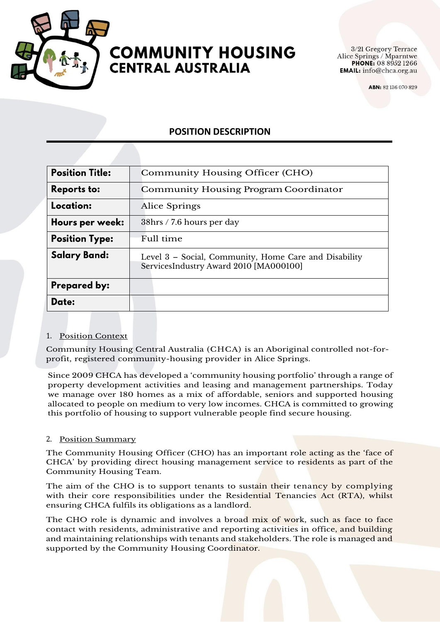

#### **Springs Phone: 8952 1266 BEND: 82905 PHONE**: **WSIKALIA**

3/21 Gregory Terrace **EMAIL:** info@chca.org.au

ABN: 82 136 070 829

# **POSITION DESCRIPTION**

| <b>Position Title:</b> | Community Housing Officer (CHO)                                                                 |
|------------------------|-------------------------------------------------------------------------------------------------|
| <b>Reports to:</b>     | <b>Community Housing Program Coordinator</b>                                                    |
| Location:              | Alice Springs                                                                                   |
| Hours per week:        | 38hrs / 7.6 hours per day                                                                       |
| <b>Position Type:</b>  | Full time                                                                                       |
| Salary Band:           | Level 3 – Social, Community, Home Care and Disability<br>ServicesIndustry Award 2010 [MA000100] |
| Prepared by:           |                                                                                                 |
| Date:                  |                                                                                                 |

## 1. Position Context

Community Housing Central Australia (CHCA) is an Aboriginal controlled not-forprofit, registered community-housing provider in Alice Springs.

Since 2009 CHCA has developed a 'community housing portfolio' through a range of property development activities and leasing and management partnerships. Today we manage over 180 homes as a mix of affordable, seniors and supported housing allocated to people on medium to very low incomes. CHCA is committed to growing this portfolio of housing to support vulnerable people find secure housing.

## 2. Position Summary

The Community Housing Officer (CHO) has an important role acting as the 'face of CHCA' by providing direct housing management service to residents as part of the Community Housing Team.

The aim of the CHO is to support tenants to sustain their tenancy by complying with their core responsibilities under the Residential Tenancies Act (RTA), whilst ensuring CHCA fulfils its obligations as a landlord.

The CHO role is dynamic and involves a broad mix of work, such as face to face contact with residents, administrative and reporting activities in office, and building and maintaining relationships with tenants and stakeholders. The role is managed and supported by the Community Housing Coordinator.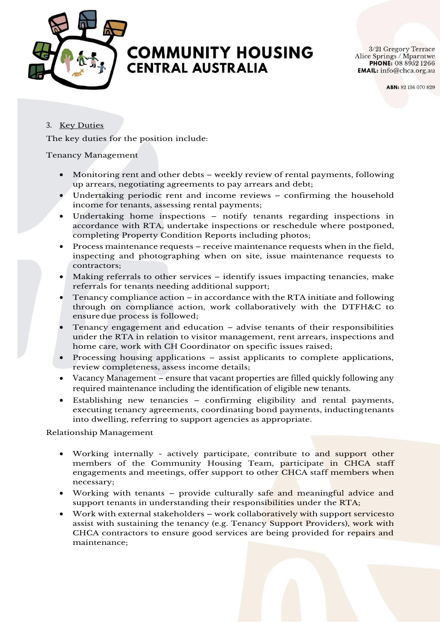

#### **Springs Phone: 8952 1266 ABN: 82 136 070 829 PO Box 4905 Alice Springs NT 0871** L AUSIKA

3/21 Gregory Terrace **EMAIL:** info@chca.org.au

ABN: 82 136 070 829

# 3. Key Duties

The key duties for the position include:

### Tenancy Management

- Monitoring rent and other debts weekly review of rental payments, following up arrears, negotiating agreements to pay arrears and debt;
- Undertaking periodic rent and income reviews confirming the household income for tenants, assessing rental payments;
- Undertaking home inspections notify tenants regarding inspections in accordance with RTA, undertake inspections or reschedule where postponed, completing Property Condition Reports including photos;
- Process maintenance requests receive maintenance requests when in the field, inspecting and photographing when on site, issue maintenance requests to contractors;
- Making referrals to other services identify issues impacting tenancies, make referrals for tenants needing additional support;
- Tenancy compliance action in accordance with the RTA initiate and following through on compliance action, work collaboratively with the DTFH&C to ensure due process is followed;
- Tenancy engagement and education advise tenants of their responsibilities under the RTA in relation to visitor management, rent arrears, inspections and home care, work with CH Coordinator on specific issues raised;
- Processing housing applications assist applicants to complete applications, review completeness, assess income details;
- Vacancy Management ensure that vacant properties are filled quickly following any required maintenance including the identification of eligible new tenants.
- Establishing new tenancies confirming eligibility and rental payments, executing tenancy agreements, coordinating bond payments, inducting tenants into dwelling, referring to support agencies as appropriate.

Relationship Management

- Working internally actively participate, contribute to and support other members of the Community Housing Team, participate in CHCA staff engagements and meetings, offer support to other CHCA staff members when necessary;
- Working with tenants provide culturally safe and meaningful advice and support tenants in understanding their responsibilities under the RTA;
- Work with external stakeholders work collaboratively with support servicesto assist with sustaining the tenancy (e.g. Tenancy Support Providers), work with CHCA contractors to ensure good services are being provided for repairs and maintenance;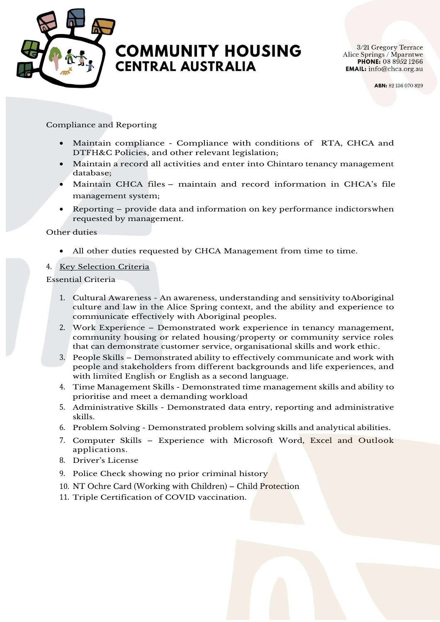

#### **Springs Phone: 8952 1266 ABN: 82 136 070 829 PO Box 4905 Alice Springs NT 0871 www.CHCAc.org.au**

3/21 Gregory Terrace Alice Springs / Mparntwe

ABN: 82 136 070 829

# Compliance and Reporting

- Maintain compliance Compliance with conditions of RTA, CHCA and DTFH&C Policies, and other relevant legislation;
- Maintain a record all activities and enter into Chintaro tenancy management database;
- Maintain CHCA files maintain and record information in CHCA's file management system;
- Reporting provide data and information on key performance indictorswhen requested by management.

#### Other duties

• All other duties requested by CHCA Management from time to time.

### 4. Key Selection Criteria

Essential Criteria

- 1. Cultural Awareness An awareness, understanding and sensitivity toAboriginal culture and law in the Alice Spring context, and the ability and experience to communicate effectively with Aboriginal peoples.
- 2. Work Experience Demonstrated work experience in tenancy management, community housing or related housing/property or community service roles that can demonstrate customer service, organisational skills and work ethic.
- 3. People Skills Demonstrated ability to effectively communicate and work with people and stakeholders from different backgrounds and life experiences, and with limited English or English as a second language.
- 4. Time Management Skills Demonstrated time management skills and ability to prioritise and meet a demanding workload
- 5. Administrative Skills Demonstrated data entry, reporting and administrative skills.
- 6. Problem Solving Demonstrated problem solving skills and analytical abilities.
- 7. Computer Skills Experience with Microsoft Word, Excel and Outlook applications.
- 8. Driver's License
- 9. Police Check showing no prior criminal history
- 10. NT Ochre Card (Working with Children) Child Protection
- 11. Triple Certification of COVID vaccination.